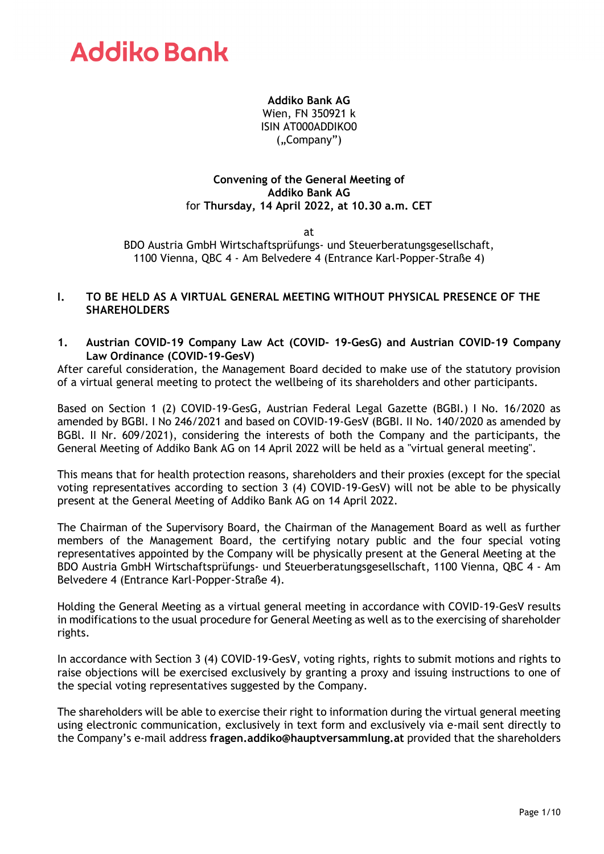### **Addiko Bank AG**

Wien, FN 350921 k ISIN AT000ADDIKO0 ("Company")

### **Convening of the General Meeting of Addiko Bank AG**  for **Thursday, 14 April 2022, at 10.30 a.m. CET**

at

BDO Austria GmbH Wirtschaftsprüfungs- und Steuerberatungsgesellschaft, 1100 Vienna, QBC 4 - Am Belvedere 4 (Entrance Karl-Popper-Straße 4)

### **I. TO BE HELD AS A VIRTUAL GENERAL MEETING WITHOUT PHYSICAL PRESENCE OF THE SHAREHOLDERS**

### **1. Austrian COVID-19 Company Law Act (COVID- 19-GesG) and Austrian COVID-19 Company Law Ordinance (COVID-19-GesV)**

After careful consideration, the Management Board decided to make use of the statutory provision of a virtual general meeting to protect the wellbeing of its shareholders and other participants.

Based on Section 1 (2) COVID-19-GesG, Austrian Federal Legal Gazette (BGBI.) I No. 16/2020 as amended by BGBI. I No 246/2021 and based on COVID-19-GesV (BGBI. II No. 140/2020 as amended by BGBl. II Nr. 609/2021), considering the interests of both the Company and the participants, the General Meeting of Addiko Bank AG on 14 April 2022 will be held as a "virtual general meeting".

This means that for health protection reasons, shareholders and their proxies (except for the special voting representatives according to section 3 (4) COVID-19-GesV) will not be able to be physically present at the General Meeting of Addiko Bank AG on 14 April 2022.

The Chairman of the Supervisory Board, the Chairman of the Management Board as well as further members of the Management Board, the certifying notary public and the four special voting representatives appointed by the Company will be physically present at the General Meeting at the BDO Austria GmbH Wirtschaftsprüfungs- und Steuerberatungsgesellschaft, 1100 Vienna, QBC 4 - Am Belvedere 4 (Entrance Karl-Popper-Straße 4).

Holding the General Meeting as a virtual general meeting in accordance with COVID-19-GesV results in modifications to the usual procedure for General Meeting as well as to the exercising of shareholder rights.

In accordance with Section 3 (4) COVID-19-GesV, voting rights, rights to submit motions and rights to raise objections will be exercised exclusively by granting a proxy and issuing instructions to one of the special voting representatives suggested by the Company.

The shareholders will be able to exercise their right to information during the virtual general meeting using electronic communication, exclusively in text form and exclusively via e-mail sent directly to the Company's e-mail address **[fragen.addiko@hauptversammlung.at](mailto:fragen.addiko@hauptversammlung.at)** provided that the shareholders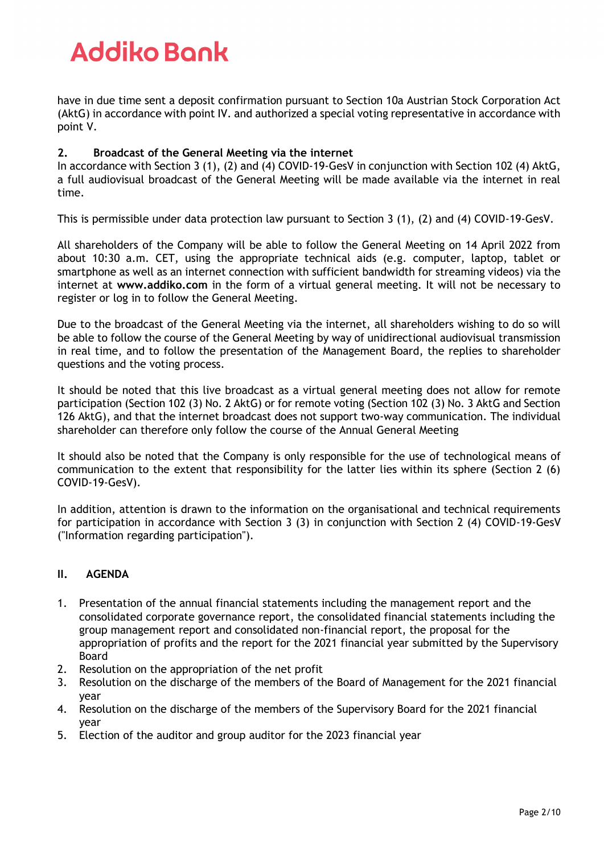have in due time sent a deposit confirmation pursuant to Section 10a Austrian Stock Corporation Act (AktG) in accordance with point IV. and authorized a special voting representative in accordance with point V.

### **2. Broadcast of the General Meeting via the internet**

In accordance with Section 3 (1), (2) and (4) COVID-19-GesV in conjunction with Section 102 (4) AktG, a full audiovisual broadcast of the General Meeting will be made available via the internet in real time.

This is permissible under data protection law pursuant to Section 3 (1), (2) and (4) COVID-19-GesV.

All shareholders of the Company will be able to follow the General Meeting on 14 April 2022 from about 10:30 a.m. CET, using the appropriate technical aids (e.g. computer, laptop, tablet or smartphone as well as an internet connection with sufficient bandwidth for streaming videos) via the internet at **[www.addiko.com](http://www.addiko.com/)** in the form of a virtual general meeting. It will not be necessary to register or log in to follow the General Meeting.

Due to the broadcast of the General Meeting via the internet, all shareholders wishing to do so will be able to follow the course of the General Meeting by way of unidirectional audiovisual transmission in real time, and to follow the presentation of the Management Board, the replies to shareholder questions and the voting process.

It should be noted that this live broadcast as a virtual general meeting does not allow for remote participation (Section 102 (3) No. 2 AktG) or for remote voting (Section 102 (3) No. 3 AktG and Section 126 AktG), and that the internet broadcast does not support two-way communication. The individual shareholder can therefore only follow the course of the Annual General Meeting

It should also be noted that the Company is only responsible for the use of technological means of communication to the extent that responsibility for the latter lies within its sphere (Section 2 (6) COVID-19-GesV).

In addition, attention is drawn to the information on the organisational and technical requirements for participation in accordance with Section 3 (3) in conjunction with Section 2 (4) COVID-19-GesV ("Information regarding participation").

### **II. AGENDA**

- 1. Presentation of the annual financial statements including the management report and the consolidated corporate governance report, the consolidated financial statements including the group management report and consolidated non-financial report, the proposal for the appropriation of profits and the report for the 2021 financial year submitted by the Supervisory Board
- 2. Resolution on the appropriation of the net profit
- 3. Resolution on the discharge of the members of the Board of Management for the 2021 financial year
- 4. Resolution on the discharge of the members of the Supervisory Board for the 2021 financial year
- 5. Election of the auditor and group auditor for the 2023 financial year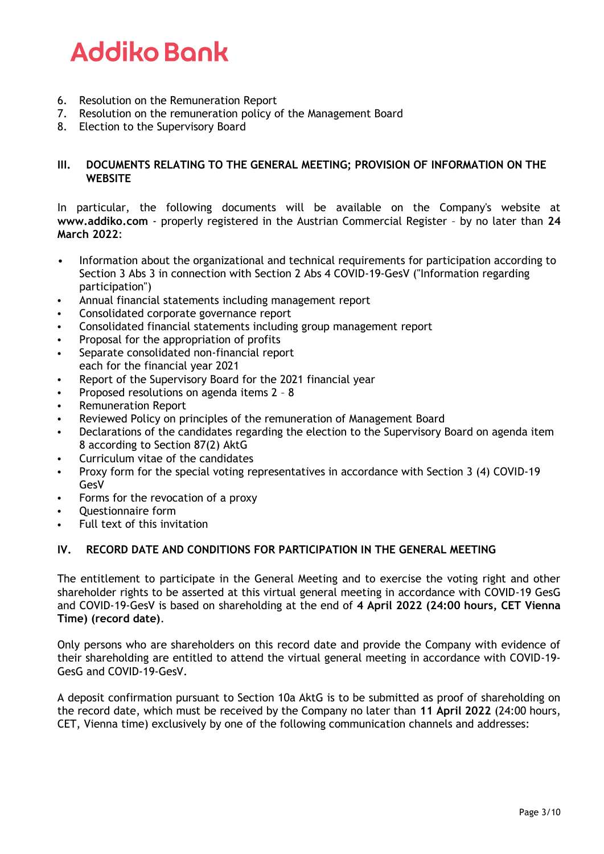- 6. Resolution on the Remuneration Report
- 7. Resolution on the remuneration policy of the Management Board
- 8. Election to the Supervisory Board

### **III. DOCUMENTS RELATING TO THE GENERAL MEETING; PROVISION OF INFORMATION ON THE WEBSITE**

In particular, the following documents will be available on the Company's website at **[www.addiko.com](http://www.addiko.com/)** - properly registered in the Austrian Commercial Register – by no later than **24 March 2022**:

- Information about the organizational and technical requirements for participation according to Section 3 Abs 3 in connection with Section 2 Abs 4 COVID-19-GesV ("Information regarding participation")
- Annual financial statements including management report
- Consolidated corporate governance report
- Consolidated financial statements including group management report
- Proposal for the appropriation of profits
- Separate consolidated non-financial report each for the financial year 2021
- Report of the Supervisory Board for the 2021 financial year
- Proposed resolutions on agenda items 2 8
- Remuneration Report
- Reviewed Policy on principles of the remuneration of Management Board
- Declarations of the candidates regarding the election to the Supervisory Board on agenda item 8 according to Section 87(2) AktG
- Curriculum vitae of the candidates
- Proxy form for the special voting representatives in accordance with Section 3 (4) COVID-19 GesV
- Forms for the revocation of a proxy
- Questionnaire form
- Full text of this invitation

### **IV. RECORD DATE AND CONDITIONS FOR PARTICIPATION IN THE GENERAL MEETING**

The entitlement to participate in the General Meeting and to exercise the voting right and other shareholder rights to be asserted at this virtual general meeting in accordance with COVID-19 GesG and COVID-19-GesV is based on shareholding at the end of **4 April 2022 (24:00 hours, CET Vienna Time) (record date)**.

Only persons who are shareholders on this record date and provide the Company with evidence of their shareholding are entitled to attend the virtual general meeting in accordance with COVID-19- GesG and COVID-19-GesV.

A deposit confirmation pursuant to Section 10a AktG is to be submitted as proof of shareholding on the record date, which must be received by the Company no later than **11 April 2022** (24:00 hours, CET, Vienna time) exclusively by one of the following communication channels and addresses: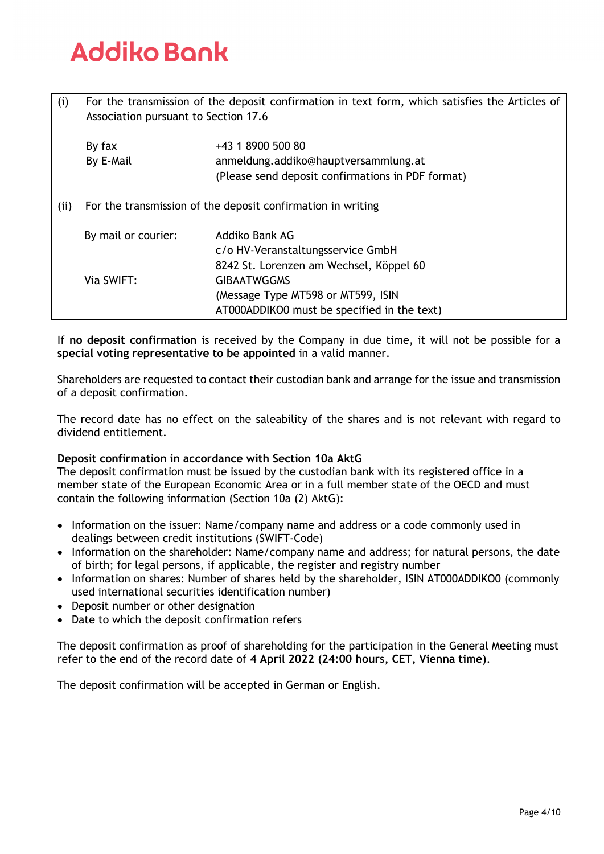| (i)  | For the transmission of the deposit confirmation in text form, which satisfies the Articles of<br>Association pursuant to Section 17.6 |                                                                                                                |  |
|------|----------------------------------------------------------------------------------------------------------------------------------------|----------------------------------------------------------------------------------------------------------------|--|
|      | By fax<br>By E-Mail                                                                                                                    | +43 1 8900 500 80<br>anmeldung.addiko@hauptversammlung.at<br>(Please send deposit confirmations in PDF format) |  |
| (ii) |                                                                                                                                        | For the transmission of the deposit confirmation in writing                                                    |  |
|      | By mail or courier:                                                                                                                    | Addiko Bank AG<br>c/o HV-Veranstaltungsservice GmbH<br>8242 St. Lorenzen am Wechsel, Köppel 60                 |  |
|      | Via SWIFT:                                                                                                                             | <b>GIBAATWGGMS</b><br>(Message Type MT598 or MT599, ISIN<br>AT000ADDIKO0 must be specified in the text)        |  |

If **no deposit confirmation** is received by the Company in due time, it will not be possible for a **special voting representative to be appointed** in a valid manner.

Shareholders are requested to contact their custodian bank and arrange for the issue and transmission of a deposit confirmation.

The record date has no effect on the saleability of the shares and is not relevant with regard to dividend entitlement.

### **Deposit confirmation in accordance with Section 10a AktG**

The deposit confirmation must be issued by the custodian bank with its registered office in a member state of the European Economic Area or in a full member state of the OECD and must contain the following information (Section 10a (2) AktG):

- Information on the issuer: Name/company name and address or a code commonly used in dealings between credit institutions (SWIFT-Code)
- Information on the shareholder: Name/company name and address; for natural persons, the date of birth; for legal persons, if applicable, the register and registry number
- Information on shares: Number of shares held by the shareholder, ISIN AT000ADDIKO0 (commonly used international securities identification number)
- Deposit number or other designation
- Date to which the deposit confirmation refers

The deposit confirmation as proof of shareholding for the participation in the General Meeting must refer to the end of the record date of **4 April 2022 (24:00 hours, CET, Vienna time)**.

The deposit confirmation will be accepted in German or English.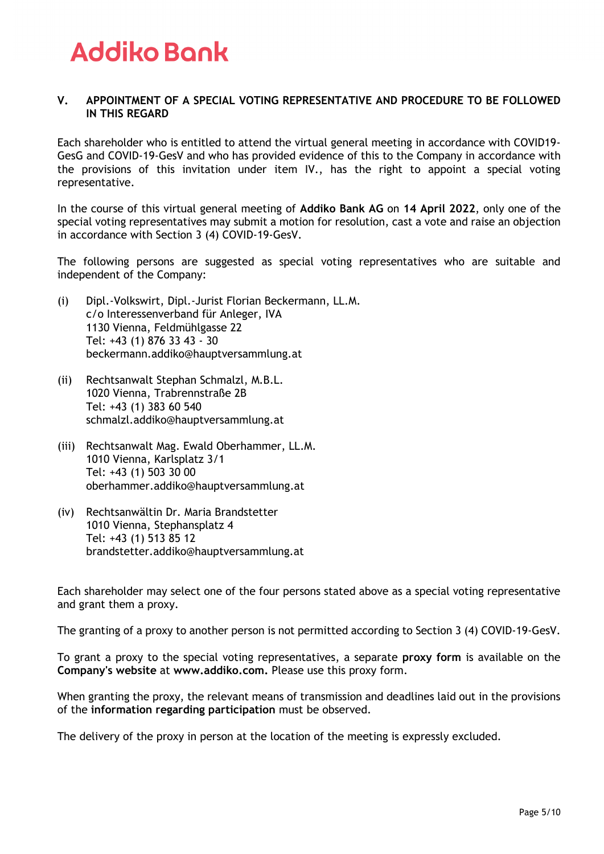### **V. APPOINTMENT OF A SPECIAL VOTING REPRESENTATIVE AND PROCEDURE TO BE FOLLOWED IN THIS REGARD**

Each shareholder who is entitled to attend the virtual general meeting in accordance with COVID19- GesG and COVID-19-GesV and who has provided evidence of this to the Company in accordance with the provisions of this invitation under item IV., has the right to appoint a special voting representative.

In the course of this virtual general meeting of **Addiko Bank AG** on **14 April 2022**, only one of the special voting representatives may submit a motion for resolution, cast a vote and raise an objection in accordance with Section 3 (4) COVID-19-GesV.

The following persons are suggested as special voting representatives who are suitable and independent of the Company:

- (i) Dipl.-Volkswirt, Dipl.-Jurist Florian Beckermann, LL.M. c/o Interessenverband für Anleger, IVA 1130 Vienna, Feldmühlgasse 22 Tel: +43 (1) 876 33 43 - 30 [beckermann.addiko@hauptversammlung.at](mailto:beckermann.addiko@hauptversammlung.at)
- (ii) Rechtsanwalt Stephan Schmalzl, M.B.L. 1020 Vienna, Trabrennstraße 2B Tel: +43 (1) 383 60 540 [schmalzl.addiko@hauptversammlung.at](mailto:schmalzl.addiko@hauptversammlung.at)
- (iii) Rechtsanwalt Mag. Ewald Oberhammer, LL.M. 1010 Vienna, Karlsplatz 3/1 Tel: +43 (1) 503 30 00 [oberhammer.addiko@hauptversammlung.at](mailto:oberhammer.addiko@hauptversammlung.at)
- (iv) Rechtsanwältin Dr. Maria Brandstetter 1010 Vienna, Stephansplatz 4 Tel: +43 (1) 513 85 12 [brandstetter.addiko@hauptversammlung.at](mailto:brandstetter.addiko@hauptversammlung.at)

Each shareholder may select one of the four persons stated above as a special voting representative and grant them a proxy.

The granting of a proxy to another person is not permitted according to Section 3 (4) COVID-19-GesV.

To grant a proxy to the special voting representatives, a separate **proxy form** is available on the **Company's website** at **[www.addiko.com.](http://www.addiko.com/)** Please use this proxy form.

When granting the proxy, the relevant means of transmission and deadlines laid out in the provisions of the **information regarding participation** must be observed.

The delivery of the proxy in person at the location of the meeting is expressly excluded.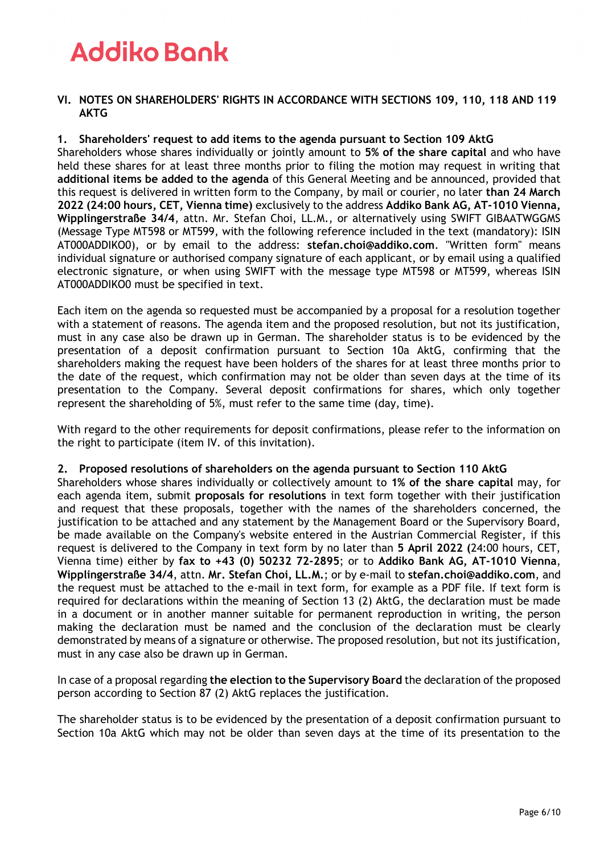#### **VI. NOTES ON SHAREHOLDERS' RIGHTS IN ACCORDANCE WITH SECTIONS 109, 110, 118 AND 119 AKTG**

### **1. Shareholders' request to add items to the agenda pursuant to Section 109 AktG**

Shareholders whose shares individually or jointly amount to **5% of the share capital** and who have held these shares for at least three months prior to filing the motion may request in writing that **additional items be added to the agenda** of this General Meeting and be announced, provided that this request is delivered in written form to the Company, by mail or courier, no later **than 24 March 2022 (24:00 hours, CET, Vienna time)** exclusively to the address **Addiko Bank AG, AT-1010 Vienna, Wipplingerstraße 34/4**, attn. Mr. Stefan Choi, LL.M., or alternatively using SWIFT GIBAATWGGMS (Message Type MT598 or MT599, with the following reference included in the text (mandatory): ISIN AT000ADDIKO0), or by email to the address: **[stefan.choi@addiko.com](mailto:stefan.choi@addiko.com)**. "Written form" means individual signature or authorised company signature of each applicant, or by email using a qualified electronic signature, or when using SWIFT with the message type MT598 or MT599, whereas ISIN AT000ADDIKO0 must be specified in text.

Each item on the agenda so requested must be accompanied by a proposal for a resolution together with a statement of reasons. The agenda item and the proposed resolution, but not its justification, must in any case also be drawn up in German. The shareholder status is to be evidenced by the presentation of a deposit confirmation pursuant to Section 10a AktG, confirming that the shareholders making the request have been holders of the shares for at least three months prior to the date of the request, which confirmation may not be older than seven days at the time of its presentation to the Company. Several deposit confirmations for shares, which only together represent the shareholding of 5%, must refer to the same time (day, time).

With regard to the other requirements for deposit confirmations, please refer to the information on the right to participate (item IV. of this invitation).

#### **2. Proposed resolutions of shareholders on the agenda pursuant to Section 110 AktG**

Shareholders whose shares individually or collectively amount to **1% of the share capital** may, for each agenda item, submit **proposals for resolutions** in text form together with their justification and request that these proposals, together with the names of the shareholders concerned, the justification to be attached and any statement by the Management Board or the Supervisory Board, be made available on the Company's website entered in the Austrian Commercial Register, if this request is delivered to the Company in text form by no later than **5 April 2022 (**24:00 hours, CET, Vienna time) either by **fax to +43 (0) 50232 72-2895**; or to **Addiko Bank AG, AT-1010 Vienna**, **Wipplingerstraße 34/4**, attn. **Mr. Stefan Choi, LL.M.**; or by e-mail to **[stefan.choi@addiko.com](mailto:stefan.choi@addiko.com)**, and the request must be attached to the e-mail in text form, for example as a PDF file. If text form is required for declarations within the meaning of Section 13 (2) AktG, the declaration must be made in a document or in another manner suitable for permanent reproduction in writing, the person making the declaration must be named and the conclusion of the declaration must be clearly demonstrated by means of a signature or otherwise. The proposed resolution, but not its justification, must in any case also be drawn up in German.

In case of a proposal regarding **the election to the Supervisory Board** the declaration of the proposed person according to Section 87 (2) AktG replaces the justification.

The shareholder status is to be evidenced by the presentation of a deposit confirmation pursuant to Section 10a AktG which may not be older than seven days at the time of its presentation to the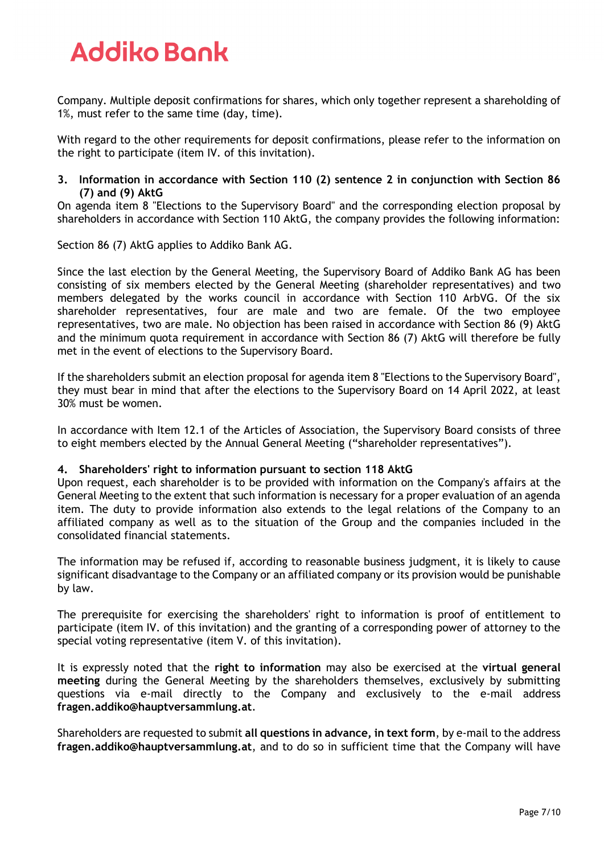Company. Multiple deposit confirmations for shares, which only together represent a shareholding of 1%, must refer to the same time (day, time).

With regard to the other requirements for deposit confirmations, please refer to the information on the right to participate (item IV. of this invitation).

#### **3. Information in accordance with Section 110 (2) sentence 2 in conjunction with Section 86 (7) and (9) AktG**

On agenda item 8 "Elections to the Supervisory Board" and the corresponding election proposal by shareholders in accordance with Section 110 AktG, the company provides the following information:

Section 86 (7) AktG applies to Addiko Bank AG.

Since the last election by the General Meeting, the Supervisory Board of Addiko Bank AG has been consisting of six members elected by the General Meeting (shareholder representatives) and two members delegated by the works council in accordance with Section 110 ArbVG. Of the six shareholder representatives, four are male and two are female. Of the two employee representatives, two are male. No objection has been raised in accordance with Section 86 (9) AktG and the minimum quota requirement in accordance with Section 86 (7) AktG will therefore be fully met in the event of elections to the Supervisory Board.

If the shareholders submit an election proposal for agenda item 8 "Elections to the Supervisory Board", they must bear in mind that after the elections to the Supervisory Board on 14 April 2022, at least 30% must be women.

In accordance with Item 12.1 of the Articles of Association, the Supervisory Board consists of three to eight members elected by the Annual General Meeting ("shareholder representatives").

### **4. Shareholders' right to information pursuant to section 118 AktG**

Upon request, each shareholder is to be provided with information on the Company's affairs at the General Meeting to the extent that such information is necessary for a proper evaluation of an agenda item. The duty to provide information also extends to the legal relations of the Company to an affiliated company as well as to the situation of the Group and the companies included in the consolidated financial statements.

The information may be refused if, according to reasonable business judgment, it is likely to cause significant disadvantage to the Company or an affiliated company or its provision would be punishable by law.

The prerequisite for exercising the shareholders' right to information is proof of entitlement to participate (item IV. of this invitation) and the granting of a corresponding power of attorney to the special voting representative (item V. of this invitation).

It is expressly noted that the **right to information** may also be exercised at the **virtual general meeting** during the General Meeting by the shareholders themselves, exclusively by submitting questions via e-mail directly to the Company and exclusively to the e-mail address **[fragen.addiko@hauptversammlung.at](mailto:fragen.addiko@hauptversammlung.at)**.

Shareholders are requested to submit **all questions in advance, in text form**, by e-mail to the address **[fragen.addiko@hauptversammlung.at](mailto:fragen.addiko@hauptversammlung.at)**, and to do so in sufficient time that the Company will have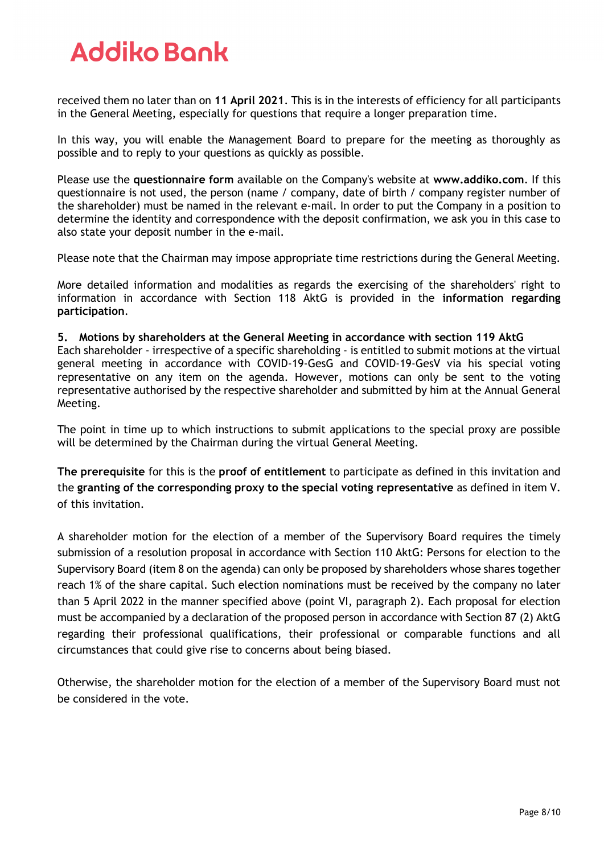received them no later than on **11 April 2021**. This is in the interests of efficiency for all participants in the General Meeting, especially for questions that require a longer preparation time.

In this way, you will enable the Management Board to prepare for the meeting as thoroughly as possible and to reply to your questions as quickly as possible.

Please use the **questionnaire form** available on the Company's website at **[www.addiko.com](http://www.addiko.com/)**. If this questionnaire is not used, the person (name / company, date of birth / company register number of the shareholder) must be named in the relevant e-mail. In order to put the Company in a position to determine the identity and correspondence with the deposit confirmation, we ask you in this case to also state your deposit number in the e-mail.

Please note that the Chairman may impose appropriate time restrictions during the General Meeting.

More detailed information and modalities as regards the exercising of the shareholders' right to information in accordance with Section 118 AktG is provided in the **information regarding participation**.

**5. Motions by shareholders at the General Meeting in accordance with section 119 AktG** Each shareholder - irrespective of a specific shareholding - is entitled to submit motions at the virtual general meeting in accordance with COVID-19-GesG and COVID-19-GesV via his special voting representative on any item on the agenda. However, motions can only be sent to the voting representative authorised by the respective shareholder and submitted by him at the Annual General Meeting.

The point in time up to which instructions to submit applications to the special proxy are possible will be determined by the Chairman during the virtual General Meeting.

**The prerequisite** for this is the **proof of entitlement** to participate as defined in this invitation and the **granting of the corresponding proxy to the special voting representative** as defined in item V. of this invitation.

A shareholder motion for the election of a member of the Supervisory Board requires the timely submission of a resolution proposal in accordance with Section 110 AktG: Persons for election to the Supervisory Board (item 8 on the agenda) can only be proposed by shareholders whose shares together reach 1% of the share capital. Such election nominations must be received by the company no later than 5 April 2022 in the manner specified above (point VI, paragraph 2). Each proposal for election must be accompanied by a declaration of the proposed person in accordance with Section 87 (2) AktG regarding their professional qualifications, their professional or comparable functions and all circumstances that could give rise to concerns about being biased.

Otherwise, the shareholder motion for the election of a member of the Supervisory Board must not be considered in the vote.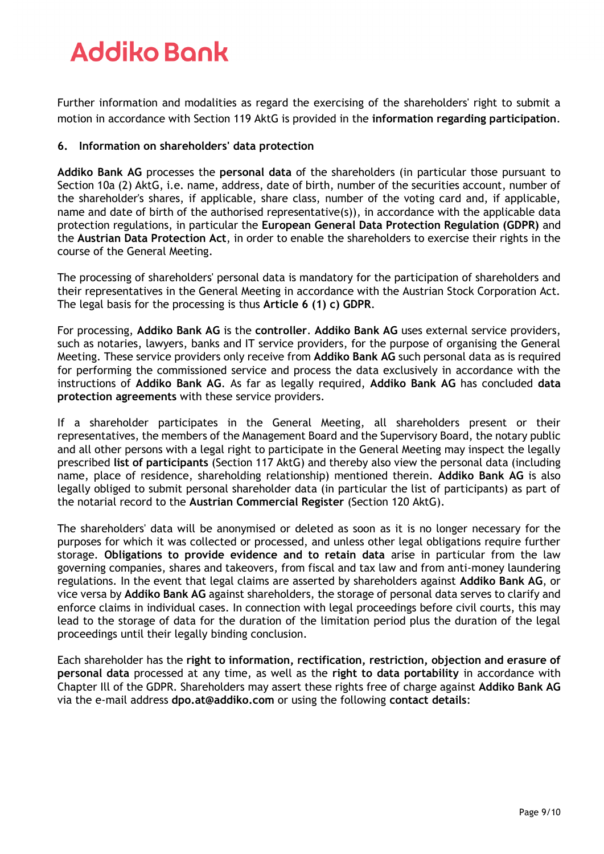Further information and modalities as regard the exercising of the shareholders' right to submit a motion in accordance with Section 119 AktG is provided in the **information regarding participation**.

### **6. Information on shareholders' data protection**

**Addiko Bank AG** processes the **personal data** of the shareholders (in particular those pursuant to Section 10a (2) AktG, i.e. name, address, date of birth, number of the securities account, number of the shareholder's shares, if applicable, share class, number of the voting card and, if applicable, name and date of birth of the authorised representative(s)), in accordance with the applicable data protection regulations, in particular the **European General Data Protection Regulation (GDPR)** and the **Austrian Data Protection Act**, in order to enable the shareholders to exercise their rights in the course of the General Meeting.

The processing of shareholders' personal data is mandatory for the participation of shareholders and their representatives in the General Meeting in accordance with the Austrian Stock Corporation Act. The legal basis for the processing is thus **Article 6 (1) c) GDPR**.

For processing, **Addiko Bank AG** is the **controller**. **Addiko Bank AG** uses external service providers, such as notaries, lawyers, banks and IT service providers, for the purpose of organising the General Meeting. These service providers only receive from **Addiko Bank AG** such personal data as is required for performing the commissioned service and process the data exclusively in accordance with the instructions of **Addiko Bank AG**. As far as legally required, **Addiko Bank AG** has concluded **data protection agreements** with these service providers.

If a shareholder participates in the General Meeting, all shareholders present or their representatives, the members of the Management Board and the Supervisory Board, the notary public and all other persons with a legal right to participate in the General Meeting may inspect the legally prescribed **list of participants** (Section 117 AktG) and thereby also view the personal data (including name, place of residence, shareholding relationship) mentioned therein. **Addiko Bank AG** is also legally obliged to submit personal shareholder data (in particular the list of participants) as part of the notarial record to the **Austrian Commercial Register** (Section 120 AktG).

The shareholders' data will be anonymised or deleted as soon as it is no longer necessary for the purposes for which it was collected or processed, and unless other legal obligations require further storage. **Obligations to provide evidence and to retain data** arise in particular from the law governing companies, shares and takeovers, from fiscal and tax law and from anti-money laundering regulations. In the event that legal claims are asserted by shareholders against **Addiko Bank AG**, or vice versa by **Addiko Bank AG** against shareholders, the storage of personal data serves to clarify and enforce claims in individual cases. In connection with legal proceedings before civil courts, this may lead to the storage of data for the duration of the limitation period plus the duration of the legal proceedings until their legally binding conclusion.

Each shareholder has the **right to information, rectification, restriction, objection and erasure of personal data** processed at any time, as well as the **right to data portability** in accordance with Chapter Ill of the GDPR. Shareholders may assert these rights free of charge against **Addiko Bank AG** via the e-mail address **[dpo.at@addiko.com](mailto:dpo.at@addiko.com)** or using the following **contact details**: